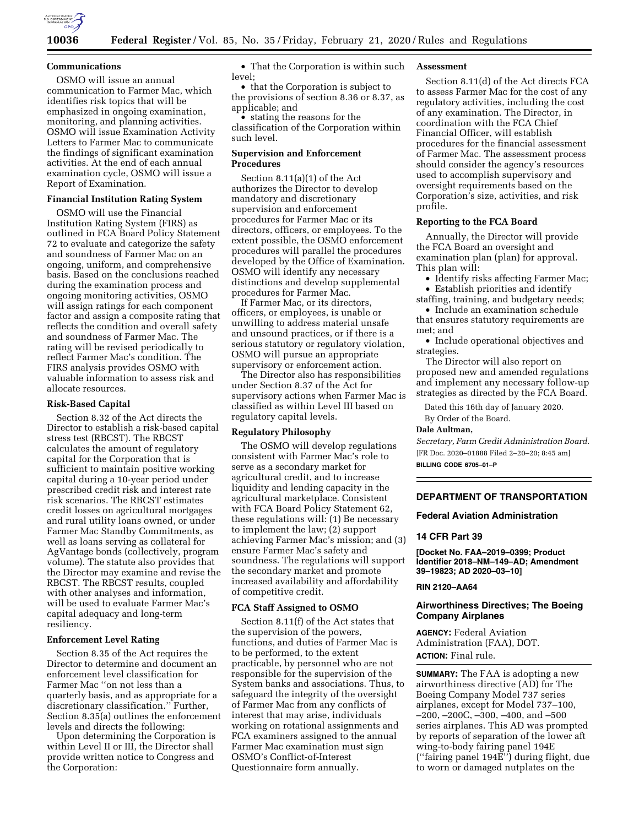

## **Communications**

OSMO will issue an annual communication to Farmer Mac, which identifies risk topics that will be emphasized in ongoing examination, monitoring, and planning activities. OSMO will issue Examination Activity Letters to Farmer Mac to communicate the findings of significant examination activities. At the end of each annual examination cycle, OSMO will issue a Report of Examination.

## **Financial Institution Rating System**

OSMO will use the Financial Institution Rating System (FIRS) as outlined in FCA Board Policy Statement 72 to evaluate and categorize the safety and soundness of Farmer Mac on an ongoing, uniform, and comprehensive basis. Based on the conclusions reached during the examination process and ongoing monitoring activities, OSMO will assign ratings for each component factor and assign a composite rating that reflects the condition and overall safety and soundness of Farmer Mac. The rating will be revised periodically to reflect Farmer Mac's condition. The FIRS analysis provides OSMO with valuable information to assess risk and allocate resources.

#### **Risk-Based Capital**

Section 8.32 of the Act directs the Director to establish a risk-based capital stress test (RBCST). The RBCST calculates the amount of regulatory capital for the Corporation that is sufficient to maintain positive working capital during a 10-year period under prescribed credit risk and interest rate risk scenarios. The RBCST estimates credit losses on agricultural mortgages and rural utility loans owned, or under Farmer Mac Standby Commitments, as well as loans serving as collateral for AgVantage bonds (collectively, program volume). The statute also provides that the Director may examine and revise the RBCST. The RBCST results, coupled with other analyses and information, will be used to evaluate Farmer Mac's capital adequacy and long-term resiliency.

### **Enforcement Level Rating**

Section 8.35 of the Act requires the Director to determine and document an enforcement level classification for Farmer Mac ''on not less than a quarterly basis, and as appropriate for a discretionary classification.'' Further, Section 8.35(a) outlines the enforcement levels and directs the following:

Upon determining the Corporation is within Level II or III, the Director shall provide written notice to Congress and the Corporation:

• That the Corporation is within such level;

• that the Corporation is subject to the provisions of section 8.36 or 8.37, as applicable; and

• stating the reasons for the classification of the Corporation within such level.

## **Supervision and Enforcement Procedures**

Section 8.11(a)(1) of the Act authorizes the Director to develop mandatory and discretionary supervision and enforcement procedures for Farmer Mac or its directors, officers, or employees. To the extent possible, the OSMO enforcement procedures will parallel the procedures developed by the Office of Examination. OSMO will identify any necessary distinctions and develop supplemental procedures for Farmer Mac.

If Farmer Mac, or its directors, officers, or employees, is unable or unwilling to address material unsafe and unsound practices, or if there is a serious statutory or regulatory violation, OSMO will pursue an appropriate supervisory or enforcement action.

The Director also has responsibilities under Section 8.37 of the Act for supervisory actions when Farmer Mac is classified as within Level III based on regulatory capital levels.

### **Regulatory Philosophy**

The OSMO will develop regulations consistent with Farmer Mac's role to serve as a secondary market for agricultural credit, and to increase liquidity and lending capacity in the agricultural marketplace. Consistent with FCA Board Policy Statement 62, these regulations will: (1) Be necessary to implement the law; (2) support achieving Farmer Mac's mission; and (3) ensure Farmer Mac's safety and soundness. The regulations will support the secondary market and promote increased availability and affordability of competitive credit.

## **FCA Staff Assigned to OSMO**

Section 8.11(f) of the Act states that the supervision of the powers, functions, and duties of Farmer Mac is to be performed, to the extent practicable, by personnel who are not responsible for the supervision of the System banks and associations. Thus, to safeguard the integrity of the oversight of Farmer Mac from any conflicts of interest that may arise, individuals working on rotational assignments and FCA examiners assigned to the annual Farmer Mac examination must sign OSMO's Conflict-of-Interest Questionnaire form annually.

## **Assessment**

Section 8.11(d) of the Act directs FCA to assess Farmer Mac for the cost of any regulatory activities, including the cost of any examination. The Director, in coordination with the FCA Chief Financial Officer, will establish procedures for the financial assessment of Farmer Mac. The assessment process should consider the agency's resources used to accomplish supervisory and oversight requirements based on the Corporation's size, activities, and risk profile.

## **Reporting to the FCA Board**

Annually, the Director will provide the FCA Board an oversight and examination plan (plan) for approval. This plan will:

• Identify risks affecting Farmer Mac;

• Establish priorities and identify staffing, training, and budgetary needs;

• Include an examination schedule that ensures statutory requirements are met; and

• Include operational objectives and strategies.

The Director will also report on proposed new and amended regulations and implement any necessary follow-up strategies as directed by the FCA Board.

Dated this 16th day of January 2020.

By Order of the Board.

# **Dale Aultman,**

*Secretary, Farm Credit Administration Board.*  [FR Doc. 2020–01888 Filed 2–20–20; 8:45 am] **BILLING CODE 6705–01–P** 

# **DEPARTMENT OF TRANSPORTATION**

# **Federal Aviation Administration**

## **14 CFR Part 39**

**[Docket No. FAA–2019–0399; Product Identifier 2018–NM–149–AD; Amendment 39–19823; AD 2020–03–10]** 

## **RIN 2120–AA64**

# **Airworthiness Directives; The Boeing Company Airplanes**

**AGENCY:** Federal Aviation Administration (FAA), DOT. **ACTION:** Final rule.

**SUMMARY:** The FAA is adopting a new airworthiness directive (AD) for The Boeing Company Model 737 series airplanes, except for Model 737–100, –200, –200C, –300, –400, and –500 series airplanes. This AD was prompted by reports of separation of the lower aft wing-to-body fairing panel 194E (''fairing panel 194E'') during flight, due to worn or damaged nutplates on the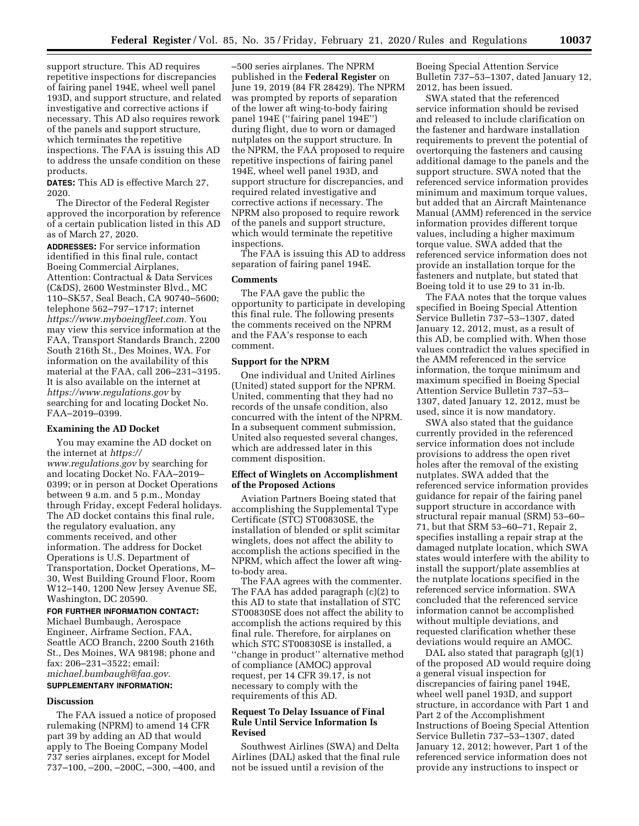support structure. This AD requires repetitive inspections for discrepancies of fairing panel 194E, wheel well panel 193D, and support structure, and related investigative and corrective actions if necessary. This AD also requires rework of the panels and support structure, which terminates the repetitive inspections. The FAA is issuing this AD to address the unsafe condition on these products.

**DATES:** This AD is effective March 27, 2020.

The Director of the Federal Register approved the incorporation by reference of a certain publication listed in this AD as of March 27, 2020.

**ADDRESSES:** For service information identified in this final rule, contact Boeing Commercial Airplanes, Attention: Contractual & Data Services (C&DS), 2600 Westminster Blvd., MC 110–SK57, Seal Beach, CA 90740–5600; telephone 562–797–1717; internet *[https://www.myboeingfleet.com.](https://www.myboeingfleet.com)* You may view this service information at the FAA, Transport Standards Branch, 2200 South 216th St., Des Moines, WA. For information on the availability of this material at the FAA, call 206–231–3195. It is also available on the internet at *<https://www.regulations.gov>* by searching for and locating Docket No. FAA–2019–0399.

### **Examining the AD Docket**

You may examine the AD docket on the internet at *[https://](https://www.regulations.gov) [www.regulations.gov](https://www.regulations.gov)* by searching for and locating Docket No. FAA–2019– 0399; or in person at Docket Operations between 9 a.m. and 5 p.m., Monday through Friday, except Federal holidays. The AD docket contains this final rule, the regulatory evaluation, any comments received, and other information. The address for Docket Operations is U.S. Department of Transportation, Docket Operations, M– 30, West Building Ground Floor, Room W12–140, 1200 New Jersey Avenue SE, Washington, DC 20590.

**FOR FURTHER INFORMATION CONTACT:**  Michael Bumbaugh, Aerospace Engineer, Airframe Section, FAA, Seattle ACO Branch, 2200 South 216th St., Des Moines, WA 98198; phone and fax: 206–231–3522; email: *[michael.bumbaugh@faa.gov.](mailto:michael.bumbaugh@faa.gov)* 

#### **SUPPLEMENTARY INFORMATION:**

#### **Discussion**

The FAA issued a notice of proposed rulemaking (NPRM) to amend 14 CFR part 39 by adding an AD that would apply to The Boeing Company Model 737 series airplanes, except for Model 737–100, –200, –200C, –300, –400, and –500 series airplanes. The NPRM published in the **Federal Register** on June 19, 2019 (84 FR 28429). The NPRM was prompted by reports of separation of the lower aft wing-to-body fairing panel 194E (''fairing panel 194E'') during flight, due to worn or damaged nutplates on the support structure. In the NPRM, the FAA proposed to require repetitive inspections of fairing panel 194E, wheel well panel 193D, and support structure for discrepancies, and required related investigative and corrective actions if necessary. The NPRM also proposed to require rework of the panels and support structure, which would terminate the repetitive inspections.

The FAA is issuing this AD to address separation of fairing panel 194E.

## **Comments**

The FAA gave the public the opportunity to participate in developing this final rule. The following presents the comments received on the NPRM and the FAA's response to each comment.

### **Support for the NPRM**

One individual and United Airlines (United) stated support for the NPRM. United, commenting that they had no records of the unsafe condition, also concurred with the intent of the NPRM. In a subsequent comment submission, United also requested several changes, which are addressed later in this comment disposition.

# **Effect of Winglets on Accomplishment of the Proposed Actions**

Aviation Partners Boeing stated that accomplishing the Supplemental Type Certificate (STC) ST00830SE, the installation of blended or split scimitar winglets, does not affect the ability to accomplish the actions specified in the NPRM, which affect the lower aft wingto-body area.

The FAA agrees with the commenter. The FAA has added paragraph (c)(2) to this AD to state that installation of STC ST00830SE does not affect the ability to accomplish the actions required by this final rule. Therefore, for airplanes on which STC ST00830SE is installed, a ''change in product'' alternative method of compliance (AMOC) approval request, per 14 CFR 39.17, is not necessary to comply with the requirements of this AD.

# **Request To Delay Issuance of Final Rule Until Service Information Is Revised**

Southwest Airlines (SWA) and Delta Airlines (DAL) asked that the final rule not be issued until a revision of the

Boeing Special Attention Service Bulletin 737–53–1307, dated January 12, 2012, has been issued.

SWA stated that the referenced service information should be revised and released to include clarification on the fastener and hardware installation requirements to prevent the potential of overtorquing the fasteners and causing additional damage to the panels and the support structure. SWA noted that the referenced service information provides minimum and maximum torque values, but added that an Aircraft Maintenance Manual (AMM) referenced in the service information provides different torque values, including a higher maximum torque value. SWA added that the referenced service information does not provide an installation torque for the fasteners and nutplate, but stated that Boeing told it to use 29 to 31 in-lb.

The FAA notes that the torque values specified in Boeing Special Attention Service Bulletin 737–53–1307, dated January 12, 2012, must, as a result of this AD, be complied with. When those values contradict the values specified in the AMM referenced in the service information, the torque minimum and maximum specified in Boeing Special Attention Service Bulletin 737–53– 1307, dated January 12, 2012, must be used, since it is now mandatory.

SWA also stated that the guidance currently provided in the referenced service information does not include provisions to address the open rivet holes after the removal of the existing nutplates. SWA added that the referenced service information provides guidance for repair of the fairing panel support structure in accordance with structural repair manual (SRM) 53–60– 71, but that SRM 53–60–71, Repair 2, specifies installing a repair strap at the damaged nutplate location, which SWA states would interfere with the ability to install the support/plate assemblies at the nutplate locations specified in the referenced service information. SWA concluded that the referenced service information cannot be accomplished without multiple deviations, and requested clarification whether these deviations would require an AMOC.

DAL also stated that paragraph (g)(1) of the proposed AD would require doing a general visual inspection for discrepancies of fairing panel 194E, wheel well panel 193D, and support structure, in accordance with Part 1 and Part 2 of the Accomplishment Instructions of Boeing Special Attention Service Bulletin 737–53–1307, dated January 12, 2012; however, Part 1 of the referenced service information does not provide any instructions to inspect or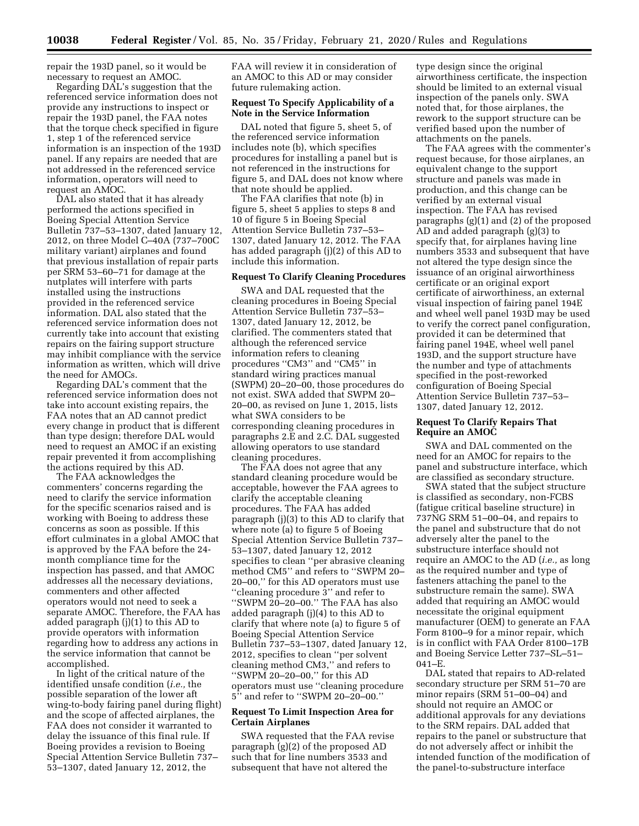repair the 193D panel, so it would be necessary to request an AMOC.

Regarding DAL's suggestion that the referenced service information does not provide any instructions to inspect or repair the 193D panel, the FAA notes that the torque check specified in figure 1, step 1 of the referenced service information is an inspection of the 193D panel. If any repairs are needed that are not addressed in the referenced service information, operators will need to request an AMOC.

DAL also stated that it has already performed the actions specified in Boeing Special Attention Service Bulletin 737–53–1307, dated January 12, 2012, on three Model C–40A (737–700C military variant) airplanes and found that previous installation of repair parts per SRM 53–60–71 for damage at the nutplates will interfere with parts installed using the instructions provided in the referenced service information. DAL also stated that the referenced service information does not currently take into account that existing repairs on the fairing support structure may inhibit compliance with the service information as written, which will drive the need for AMOCs.

Regarding DAL's comment that the referenced service information does not take into account existing repairs, the FAA notes that an AD cannot predict every change in product that is different than type design; therefore DAL would need to request an AMOC if an existing repair prevented it from accomplishing the actions required by this AD.

The FAA acknowledges the commenters' concerns regarding the need to clarify the service information for the specific scenarios raised and is working with Boeing to address these concerns as soon as possible. If this effort culminates in a global AMOC that is approved by the FAA before the 24 month compliance time for the inspection has passed, and that AMOC addresses all the necessary deviations, commenters and other affected operators would not need to seek a separate AMOC. Therefore, the FAA has added paragraph (j)(1) to this AD to provide operators with information regarding how to address any actions in the service information that cannot be accomplished.

In light of the critical nature of the identified unsafe condition (*i.e.,* the possible separation of the lower aft wing-to-body fairing panel during flight) and the scope of affected airplanes, the FAA does not consider it warranted to delay the issuance of this final rule. If Boeing provides a revision to Boeing Special Attention Service Bulletin 737– 53–1307, dated January 12, 2012, the

FAA will review it in consideration of an AMOC to this AD or may consider future rulemaking action.

# **Request To Specify Applicability of a Note in the Service Information**

DAL noted that figure 5, sheet 5, of the referenced service information includes note (b), which specifies procedures for installing a panel but is not referenced in the instructions for figure 5, and DAL does not know where that note should be applied.

The FAA clarifies that note (b) in figure 5, sheet 5 applies to steps 8 and 10 of figure 5 in Boeing Special Attention Service Bulletin 737–53– 1307, dated January 12, 2012. The FAA has added paragraph (j)(2) of this AD to include this information.

## **Request To Clarify Cleaning Procedures**

SWA and DAL requested that the cleaning procedures in Boeing Special Attention Service Bulletin 737–53– 1307, dated January 12, 2012, be clarified. The commenters stated that although the referenced service information refers to cleaning procedures ''CM3'' and ''CM5'' in standard wiring practices manual (SWPM) 20–20–00, those procedures do not exist. SWA added that SWPM 20– 20–00, as revised on June 1, 2015, lists what SWA considers to be corresponding cleaning procedures in paragraphs 2.E and 2.C. DAL suggested allowing operators to use standard cleaning procedures.

The FAA does not agree that any standard cleaning procedure would be acceptable, however the FAA agrees to clarify the acceptable cleaning procedures. The FAA has added paragraph (j)(3) to this AD to clarify that where note (a) to figure 5 of Boeing Special Attention Service Bulletin 737– 53–1307, dated January 12, 2012 specifies to clean ''per abrasive cleaning method CM5'' and refers to ''SWPM 20– 20–00,'' for this AD operators must use ''cleaning procedure 3'' and refer to ''SWPM 20–20–00.'' The FAA has also added paragraph (j)(4) to this AD to clarify that where note (a) to figure 5 of Boeing Special Attention Service Bulletin 737–53–1307, dated January 12, 2012, specifies to clean ''per solvent cleaning method CM3,'' and refers to ''SWPM 20–20–00,'' for this AD operators must use ''cleaning procedure 5'' and refer to ''SWPM 20–20–00.''

# **Request To Limit Inspection Area for Certain Airplanes**

SWA requested that the FAA revise paragraph (g)(2) of the proposed AD such that for line numbers 3533 and subsequent that have not altered the

type design since the original airworthiness certificate, the inspection should be limited to an external visual inspection of the panels only. SWA noted that, for those airplanes, the rework to the support structure can be verified based upon the number of attachments on the panels.

The FAA agrees with the commenter's request because, for those airplanes, an equivalent change to the support structure and panels was made in production, and this change can be verified by an external visual inspection. The FAA has revised paragraphs (g)(1) and (2) of the proposed AD and added paragraph (g)(3) to specify that, for airplanes having line numbers 3533 and subsequent that have not altered the type design since the issuance of an original airworthiness certificate or an original export certificate of airworthiness, an external visual inspection of fairing panel 194E and wheel well panel 193D may be used to verify the correct panel configuration, provided it can be determined that fairing panel 194E, wheel well panel 193D, and the support structure have the number and type of attachments specified in the post-reworked configuration of Boeing Special Attention Service Bulletin 737–53– 1307, dated January 12, 2012.

# **Request To Clarify Repairs That Require an AMOC**

SWA and DAL commented on the need for an AMOC for repairs to the panel and substructure interface, which are classified as secondary structure.

SWA stated that the subject structure is classified as secondary, non-FCBS (fatigue critical baseline structure) in 737NG SRM 51–00–04, and repairs to the panel and substructure that do not adversely alter the panel to the substructure interface should not require an AMOC to the AD (*i.e.,* as long as the required number and type of fasteners attaching the panel to the substructure remain the same). SWA added that requiring an AMOC would necessitate the original equipment manufacturer (OEM) to generate an FAA Form 8100–9 for a minor repair, which is in conflict with FAA Order 8100–17B and Boeing Service Letter 737–SL–51– 041–E.

DAL stated that repairs to AD-related secondary structure per SRM 51–70 are minor repairs (SRM 51–00–04) and should not require an AMOC or additional approvals for any deviations to the SRM repairs. DAL added that repairs to the panel or substructure that do not adversely affect or inhibit the intended function of the modification of the panel-to-substructure interface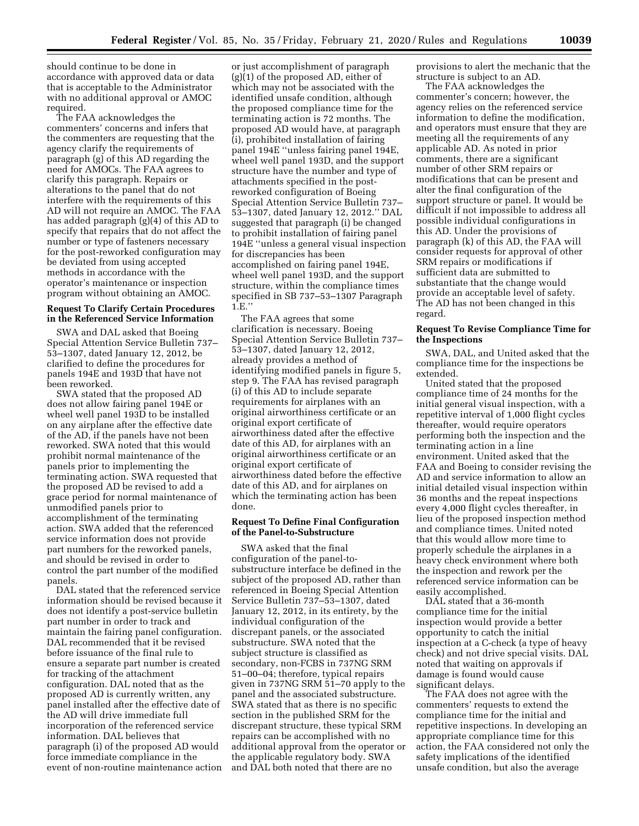should continue to be done in accordance with approved data or data that is acceptable to the Administrator with no additional approval or AMOC required.

The FAA acknowledges the commenters' concerns and infers that the commenters are requesting that the agency clarify the requirements of paragraph (g) of this AD regarding the need for AMOCs. The FAA agrees to clarify this paragraph. Repairs or alterations to the panel that do not interfere with the requirements of this AD will not require an AMOC. The FAA has added paragraph (g)(4) of this AD to specify that repairs that do not affect the number or type of fasteners necessary for the post-reworked configuration may be deviated from using accepted methods in accordance with the operator's maintenance or inspection program without obtaining an AMOC.

# **Request To Clarify Certain Procedures in the Referenced Service Information**

SWA and DAL asked that Boeing Special Attention Service Bulletin 737– 53–1307, dated January 12, 2012, be clarified to define the procedures for panels 194E and 193D that have not been reworked.

SWA stated that the proposed AD does not allow fairing panel 194E or wheel well panel 193D to be installed on any airplane after the effective date of the AD, if the panels have not been reworked. SWA noted that this would prohibit normal maintenance of the panels prior to implementing the terminating action. SWA requested that the proposed AD be revised to add a grace period for normal maintenance of unmodified panels prior to accomplishment of the terminating action. SWA added that the referenced service information does not provide part numbers for the reworked panels, and should be revised in order to control the part number of the modified panels.

DAL stated that the referenced service information should be revised because it does not identify a post-service bulletin part number in order to track and maintain the fairing panel configuration. DAL recommended that it be revised before issuance of the final rule to ensure a separate part number is created for tracking of the attachment configuration. DAL noted that as the proposed AD is currently written, any panel installed after the effective date of the AD will drive immediate full incorporation of the referenced service information. DAL believes that paragraph (i) of the proposed AD would force immediate compliance in the event of non-routine maintenance action

or just accomplishment of paragraph (g)(1) of the proposed AD, either of which may not be associated with the identified unsafe condition, although the proposed compliance time for the terminating action is 72 months. The proposed AD would have, at paragraph (i), prohibited installation of fairing panel 194E ''unless fairing panel 194E, wheel well panel 193D, and the support structure have the number and type of attachments specified in the postreworked configuration of Boeing Special Attention Service Bulletin 737– 53–1307, dated January 12, 2012.'' DAL suggested that paragraph (i) be changed to prohibit installation of fairing panel 194E ''unless a general visual inspection for discrepancies has been accomplished on fairing panel 194E, wheel well panel 193D, and the support structure, within the compliance times specified in SB 737–53–1307 Paragraph 1.E.''

The FAA agrees that some clarification is necessary. Boeing Special Attention Service Bulletin 737– 53–1307, dated January 12, 2012, already provides a method of identifying modified panels in figure 5, step 9. The FAA has revised paragraph (i) of this AD to include separate requirements for airplanes with an original airworthiness certificate or an original export certificate of airworthiness dated after the effective date of this AD, for airplanes with an original airworthiness certificate or an original export certificate of airworthiness dated before the effective date of this AD, and for airplanes on which the terminating action has been done.

# **Request To Define Final Configuration of the Panel-to-Substructure**

SWA asked that the final configuration of the panel-tosubstructure interface be defined in the subject of the proposed AD, rather than referenced in Boeing Special Attention Service Bulletin 737–53–1307, dated January 12, 2012, in its entirety, by the individual configuration of the discrepant panels, or the associated substructure. SWA noted that the subject structure is classified as secondary, non-FCBS in 737NG SRM 51–00–04; therefore, typical repairs given in 737NG SRM 51–70 apply to the panel and the associated substructure. SWA stated that as there is no specific section in the published SRM for the discrepant structure, these typical SRM repairs can be accomplished with no additional approval from the operator or the applicable regulatory body. SWA and DAL both noted that there are no

provisions to alert the mechanic that the structure is subject to an AD.

The FAA acknowledges the commenter's concern; however, the agency relies on the referenced service information to define the modification, and operators must ensure that they are meeting all the requirements of any applicable AD. As noted in prior comments, there are a significant number of other SRM repairs or modifications that can be present and alter the final configuration of the support structure or panel. It would be difficult if not impossible to address all possible individual configurations in this AD. Under the provisions of paragraph (k) of this AD, the FAA will consider requests for approval of other SRM repairs or modifications if sufficient data are submitted to substantiate that the change would provide an acceptable level of safety. The AD has not been changed in this regard.

### **Request To Revise Compliance Time for the Inspections**

SWA, DAL, and United asked that the compliance time for the inspections be extended.

United stated that the proposed compliance time of 24 months for the initial general visual inspection, with a repetitive interval of 1,000 flight cycles thereafter, would require operators performing both the inspection and the terminating action in a line environment. United asked that the FAA and Boeing to consider revising the AD and service information to allow an initial detailed visual inspection within 36 months and the repeat inspections every 4,000 flight cycles thereafter, in lieu of the proposed inspection method and compliance times. United noted that this would allow more time to properly schedule the airplanes in a heavy check environment where both the inspection and rework per the referenced service information can be easily accomplished.

DAL stated that a 36-month compliance time for the initial inspection would provide a better opportunity to catch the initial inspection at a C-check (a type of heavy check) and not drive special visits. DAL noted that waiting on approvals if damage is found would cause significant delays.

The FAA does not agree with the commenters' requests to extend the compliance time for the initial and repetitive inspections. In developing an appropriate compliance time for this action, the FAA considered not only the safety implications of the identified unsafe condition, but also the average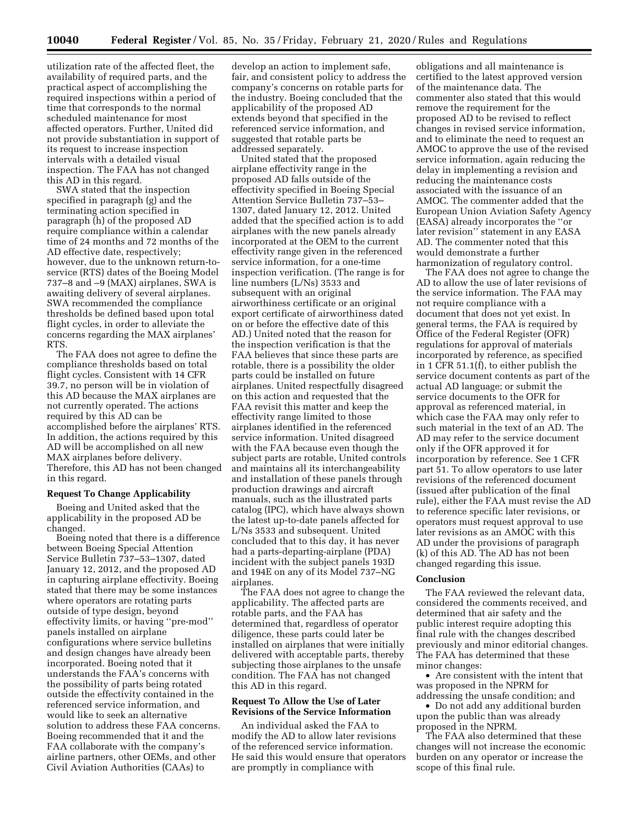utilization rate of the affected fleet, the availability of required parts, and the practical aspect of accomplishing the required inspections within a period of time that corresponds to the normal scheduled maintenance for most affected operators. Further, United did not provide substantiation in support of its request to increase inspection intervals with a detailed visual inspection. The FAA has not changed this AD in this regard.

SWA stated that the inspection specified in paragraph (g) and the terminating action specified in paragraph (h) of the proposed AD require compliance within a calendar time of 24 months and 72 months of the AD effective date, respectively; however, due to the unknown return-toservice (RTS) dates of the Boeing Model 737–8 and –9 (MAX) airplanes, SWA is awaiting delivery of several airplanes. SWA recommended the compliance thresholds be defined based upon total flight cycles, in order to alleviate the concerns regarding the MAX airplanes' RTS.

The FAA does not agree to define the compliance thresholds based on total flight cycles. Consistent with 14 CFR 39.7, no person will be in violation of this AD because the MAX airplanes are not currently operated. The actions required by this AD can be accomplished before the airplanes' RTS. In addition, the actions required by this AD will be accomplished on all new MAX airplanes before delivery. Therefore, this AD has not been changed in this regard.

# **Request To Change Applicability**

Boeing and United asked that the applicability in the proposed AD be changed.

Boeing noted that there is a difference between Boeing Special Attention Service Bulletin 737–53–1307, dated January 12, 2012, and the proposed AD in capturing airplane effectivity. Boeing stated that there may be some instances where operators are rotating parts outside of type design, beyond effectivity limits, or having ''pre-mod'' panels installed on airplane configurations where service bulletins and design changes have already been incorporated. Boeing noted that it understands the FAA's concerns with the possibility of parts being rotated outside the effectivity contained in the referenced service information, and would like to seek an alternative solution to address these FAA concerns. Boeing recommended that it and the FAA collaborate with the company's airline partners, other OEMs, and other Civil Aviation Authorities (CAAs) to

develop an action to implement safe, fair, and consistent policy to address the company's concerns on rotable parts for the industry. Boeing concluded that the applicability of the proposed AD extends beyond that specified in the referenced service information, and suggested that rotable parts be addressed separately.

United stated that the proposed airplane effectivity range in the proposed AD falls outside of the effectivity specified in Boeing Special Attention Service Bulletin 737–53– 1307, dated January 12, 2012. United added that the specified action is to add airplanes with the new panels already incorporated at the OEM to the current effectivity range given in the referenced service information, for a one-time inspection verification. (The range is for line numbers (L/Ns) 3533 and subsequent with an original airworthiness certificate or an original export certificate of airworthiness dated on or before the effective date of this AD.) United noted that the reason for the inspection verification is that the FAA believes that since these parts are rotable, there is a possibility the older parts could be installed on future airplanes. United respectfully disagreed on this action and requested that the FAA revisit this matter and keep the effectivity range limited to those airplanes identified in the referenced service information. United disagreed with the FAA because even though the subject parts are rotable, United controls and maintains all its interchangeability and installation of these panels through production drawings and aircraft manuals, such as the illustrated parts catalog (IPC), which have always shown the latest up-to-date panels affected for L/Ns 3533 and subsequent. United concluded that to this day, it has never had a parts-departing-airplane (PDA) incident with the subject panels 193D and 194E on any of its Model 737–NG airplanes.

The FAA does not agree to change the applicability. The affected parts are rotable parts, and the FAA has determined that, regardless of operator diligence, these parts could later be installed on airplanes that were initially delivered with acceptable parts, thereby subjecting those airplanes to the unsafe condition. The FAA has not changed this AD in this regard.

## **Request To Allow the Use of Later Revisions of the Service Information**

An individual asked the FAA to modify the AD to allow later revisions of the referenced service information. He said this would ensure that operators are promptly in compliance with

obligations and all maintenance is certified to the latest approved version of the maintenance data. The commenter also stated that this would remove the requirement for the proposed AD to be revised to reflect changes in revised service information, and to eliminate the need to request an AMOC to approve the use of the revised service information, again reducing the delay in implementing a revision and reducing the maintenance costs associated with the issuance of an AMOC. The commenter added that the European Union Aviation Safety Agency (EASA) already incorporates the ''or later revision'' statement in any EASA AD. The commenter noted that this would demonstrate a further harmonization of regulatory control.

The FAA does not agree to change the AD to allow the use of later revisions of the service information. The FAA may not require compliance with a document that does not yet exist. In general terms, the FAA is required by Office of the Federal Register (OFR) regulations for approval of materials incorporated by reference, as specified in 1 CFR 51.1(f), to either publish the service document contents as part of the actual AD language; or submit the service documents to the OFR for approval as referenced material, in which case the FAA may only refer to such material in the text of an AD. The AD may refer to the service document only if the OFR approved it for incorporation by reference. See 1 CFR part 51. To allow operators to use later revisions of the referenced document (issued after publication of the final rule), either the FAA must revise the AD to reference specific later revisions, or operators must request approval to use later revisions as an AMOC with this AD under the provisions of paragraph (k) of this AD. The AD has not been changed regarding this issue.

### **Conclusion**

The FAA reviewed the relevant data, considered the comments received, and determined that air safety and the public interest require adopting this final rule with the changes described previously and minor editorial changes. The FAA has determined that these minor changes:

• Are consistent with the intent that was proposed in the NPRM for addressing the unsafe condition; and

• Do not add any additional burden upon the public than was already proposed in the NPRM.

The FAA also determined that these changes will not increase the economic burden on any operator or increase the scope of this final rule.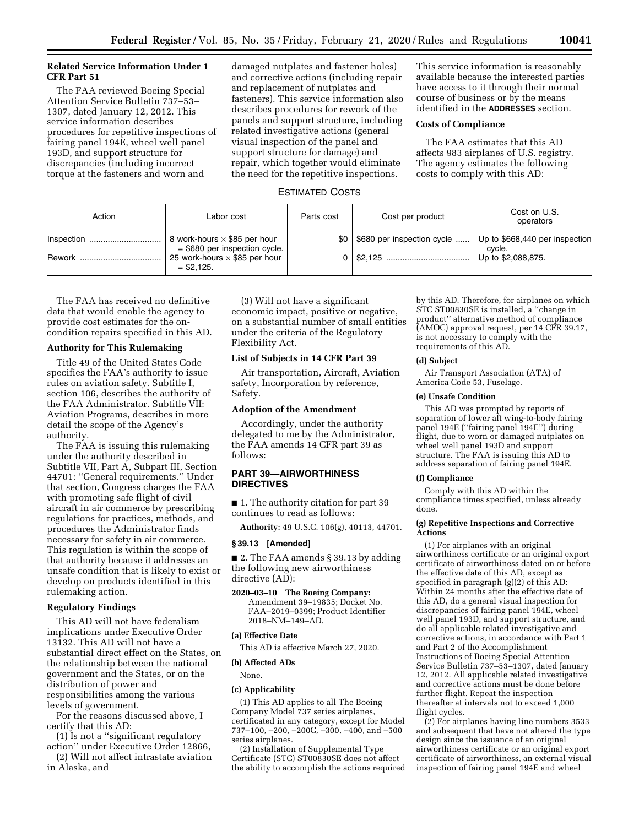# **Related Service Information Under 1 CFR Part 51**

The FAA reviewed Boeing Special Attention Service Bulletin 737–53– 1307, dated January 12, 2012. This service information describes procedures for repetitive inspections of fairing panel 194E, wheel well panel 193D, and support structure for discrepancies (including incorrect torque at the fasteners and worn and

damaged nutplates and fastener holes) and corrective actions (including repair and replacement of nutplates and fasteners). This service information also describes procedures for rework of the panels and support structure, including related investigative actions (general visual inspection of the panel and support structure for damage) and repair, which together would eliminate the need for the repetitive inspections.

This service information is reasonably available because the interested parties have access to it through their normal course of business or by the means identified in the **ADDRESSES** section.

# **Costs of Compliance**

The FAA estimates that this AD affects 983 airplanes of U.S. registry. The agency estimates the following costs to comply with this AD:

# ESTIMATED COSTS

| Action     | Labor cost                                                             | Parts cost | Cost per product                 | Cost on U.S.<br>operators                |
|------------|------------------------------------------------------------------------|------------|----------------------------------|------------------------------------------|
| Inspection | 8 work-hours $\times$ \$85 per hour<br>$=$ \$680 per inspection cycle. |            | \$0   \$680 per inspection cycle | Up to \$668,440 per inspection<br>cycle. |
| Rework     | 25 work-hours $\times$ \$85 per hour<br>$=$ \$2.125.                   |            |                                  | Up to \$2,088,875.                       |

The FAA has received no definitive data that would enable the agency to provide cost estimates for the oncondition repairs specified in this AD.

# **Authority for This Rulemaking**

Title 49 of the United States Code specifies the FAA's authority to issue rules on aviation safety. Subtitle I, section 106, describes the authority of the FAA Administrator. Subtitle VII: Aviation Programs, describes in more detail the scope of the Agency's authority.

The FAA is issuing this rulemaking under the authority described in Subtitle VII, Part A, Subpart III, Section 44701: ''General requirements.'' Under that section, Congress charges the FAA with promoting safe flight of civil aircraft in air commerce by prescribing regulations for practices, methods, and procedures the Administrator finds necessary for safety in air commerce. This regulation is within the scope of that authority because it addresses an unsafe condition that is likely to exist or develop on products identified in this rulemaking action.

## **Regulatory Findings**

This AD will not have federalism implications under Executive Order 13132. This AD will not have a substantial direct effect on the States, on the relationship between the national government and the States, or on the distribution of power and responsibilities among the various levels of government.

For the reasons discussed above, I certify that this AD:

(1) Is not a ''significant regulatory action'' under Executive Order 12866,

(2) Will not affect intrastate aviation in Alaska, and

(3) Will not have a significant economic impact, positive or negative, on a substantial number of small entities under the criteria of the Regulatory Flexibility Act.

# **List of Subjects in 14 CFR Part 39**

Air transportation, Aircraft, Aviation safety, Incorporation by reference, Safety.

#### **Adoption of the Amendment**

Accordingly, under the authority delegated to me by the Administrator, the FAA amends 14 CFR part 39 as follows:

# **PART 39—AIRWORTHINESS DIRECTIVES**

■ 1. The authority citation for part 39 continues to read as follows:

**Authority:** 49 U.S.C. 106(g), 40113, 44701.

#### **§ 39.13 [Amended]**

■ 2. The FAA amends § 39.13 by adding the following new airworthiness directive (AD):

**2020–03–10 The Boeing Company:**  Amendment 39–19835; Docket No. FAA–2019–0399; Product Identifier 2018–NM–149–AD.

# **(a) Effective Date**

This AD is effective March 27, 2020.

#### **(b) Affected ADs**

None.

### **(c) Applicability**

(1) This AD applies to all The Boeing Company Model 737 series airplanes, certificated in any category, except for Model 737–100, –200, –200C, –300, –400, and –500 series airplanes.

(2) Installation of Supplemental Type Certificate (STC) ST00830SE does not affect the ability to accomplish the actions required by this AD. Therefore, for airplanes on which STC ST00830SE is installed, a ''change in product'' alternative method of compliance (AMOC) approval request, per 14 CFR 39.17, is not necessary to comply with the requirements of this AD.

#### **(d) Subject**

Air Transport Association (ATA) of America Code 53, Fuselage.

#### **(e) Unsafe Condition**

This AD was prompted by reports of separation of lower aft wing-to-body fairing panel 194E (''fairing panel 194E'') during flight, due to worn or damaged nutplates on wheel well panel 193D and support structure. The FAA is issuing this AD to address separation of fairing panel 194E.

## **(f) Compliance**

Comply with this AD within the compliance times specified, unless already done.

### **(g) Repetitive Inspections and Corrective Actions**

(1) For airplanes with an original airworthiness certificate or an original export certificate of airworthiness dated on or before the effective date of this AD, except as specified in paragraph (g)(2) of this AD: Within 24 months after the effective date of this AD, do a general visual inspection for discrepancies of fairing panel 194E, wheel well panel 193D, and support structure, and do all applicable related investigative and corrective actions, in accordance with Part 1 and Part 2 of the Accomplishment Instructions of Boeing Special Attention Service Bulletin 737–53–1307, dated January 12, 2012. All applicable related investigative and corrective actions must be done before further flight. Repeat the inspection thereafter at intervals not to exceed 1,000 flight cycles.

(2) For airplanes having line numbers 3533 and subsequent that have not altered the type design since the issuance of an original airworthiness certificate or an original export certificate of airworthiness, an external visual inspection of fairing panel 194E and wheel